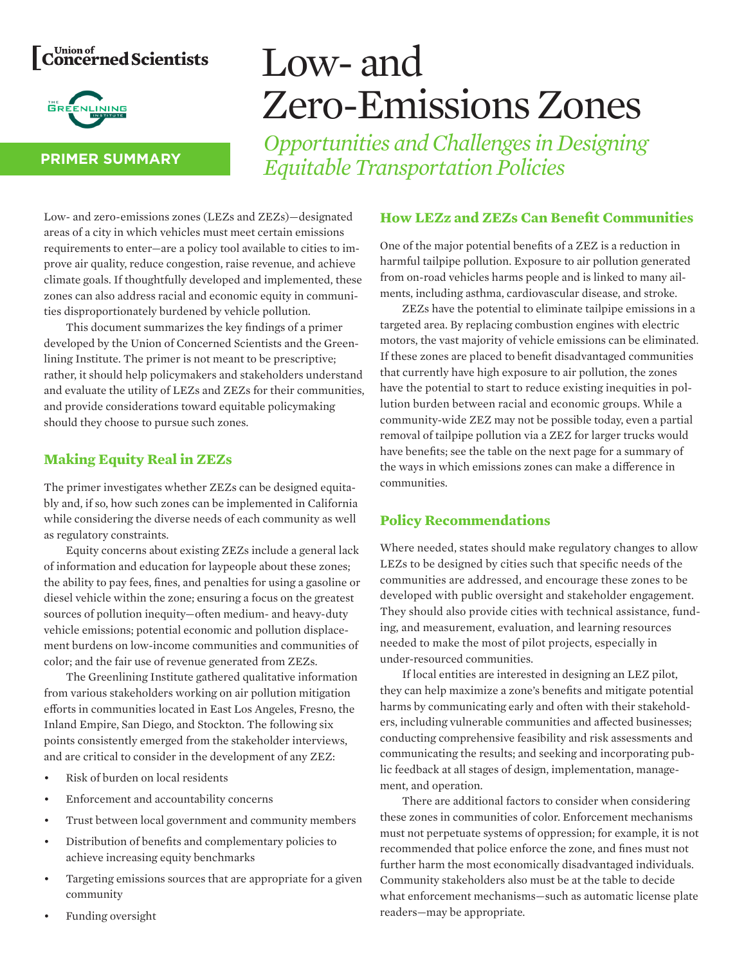# Concerned Scientists



#### **PRIMER SUMMARY**

# Low- and Zero-Emissions Zones

*Opportunities and Challenges in Designing Equitable Transportation Policies*

Low- and zero-emissions zones (LEZs and ZEZs)—designated areas of a city in which vehicles must meet certain emissions requirements to enter—are a policy tool available to cities to improve air quality, reduce congestion, raise revenue, and achieve climate goals. If thoughtfully developed and implemented, these zones can also address racial and economic equity in communities disproportionately burdened by vehicle pollution.

This document summarizes the key findings of a primer developed by the Union of Concerned Scientists and the Greenlining Institute. The primer is not meant to be prescriptive; rather, it should help policymakers and stakeholders understand and evaluate the utility of LEZs and ZEZs for their communities, and provide considerations toward equitable policymaking should they choose to pursue such zones.

### **Making Equity Real in ZEZs**

The primer investigates whether ZEZs can be designed equitably and, if so, how such zones can be implemented in California while considering the diverse needs of each community as well as regulatory constraints.

Equity concerns about existing ZEZs include a general lack of information and education for laypeople about these zones; the ability to pay fees, fines, and penalties for using a gasoline or diesel vehicle within the zone; ensuring a focus on the greatest sources of pollution inequity—often medium- and heavy-duty vehicle emissions; potential economic and pollution displacement burdens on low-income communities and communities of color; and the fair use of revenue generated from ZEZs.

The Greenlining Institute gathered qualitative information from various stakeholders working on air pollution mitigation efforts in communities located in East Los Angeles, Fresno, the Inland Empire, San Diego, and Stockton. The following six points consistently emerged from the stakeholder interviews, and are critical to consider in the development of any ZEZ:

- Risk of burden on local residents
- Enforcement and accountability concerns
- Trust between local government and community members
- Distribution of benefits and complementary policies to achieve increasing equity benchmarks
- Targeting emissions sources that are appropriate for a given community

### **How LEZz and ZEZs Can Benefit Communities**

One of the major potential benefits of a ZEZ is a reduction in harmful tailpipe pollution. Exposure to air pollution generated from on-road vehicles harms people and is linked to many ailments, including asthma, cardiovascular disease, and stroke.

ZEZs have the potential to eliminate tailpipe emissions in a targeted area. By replacing combustion engines with electric motors, the vast majority of vehicle emissions can be eliminated. If these zones are placed to benefit disadvantaged communities that currently have high exposure to air pollution, the zones have the potential to start to reduce existing inequities in pollution burden between racial and economic groups. While a community-wide ZEZ may not be possible today, even a partial removal of tailpipe pollution via a ZEZ for larger trucks would have benefits; see the table on the next page for a summary of the ways in which emissions zones can make a difference in communities.

## **Policy Recommendations**

Where needed, states should make regulatory changes to allow LEZs to be designed by cities such that specific needs of the communities are addressed, and encourage these zones to be developed with public oversight and stakeholder engagement. They should also provide cities with technical assistance, funding, and measurement, evaluation, and learning resources needed to make the most of pilot projects, especially in under-resourced communities.

If local entities are interested in designing an LEZ pilot, they can help maximize a zone's benefits and mitigate potential harms by communicating early and often with their stakeholders, including vulnerable communities and affected businesses; conducting comprehensive feasibility and risk assessments and communicating the results; and seeking and incorporating public feedback at all stages of design, implementation, management, and operation.

There are additional factors to consider when considering these zones in communities of color. Enforcement mechanisms must not perpetuate systems of oppression; for example, it is not recommended that police enforce the zone, and fines must not further harm the most economically disadvantaged individuals. Community stakeholders also must be at the table to decide what enforcement mechanisms—such as automatic license plate readers—may be appropriate.

Funding oversight